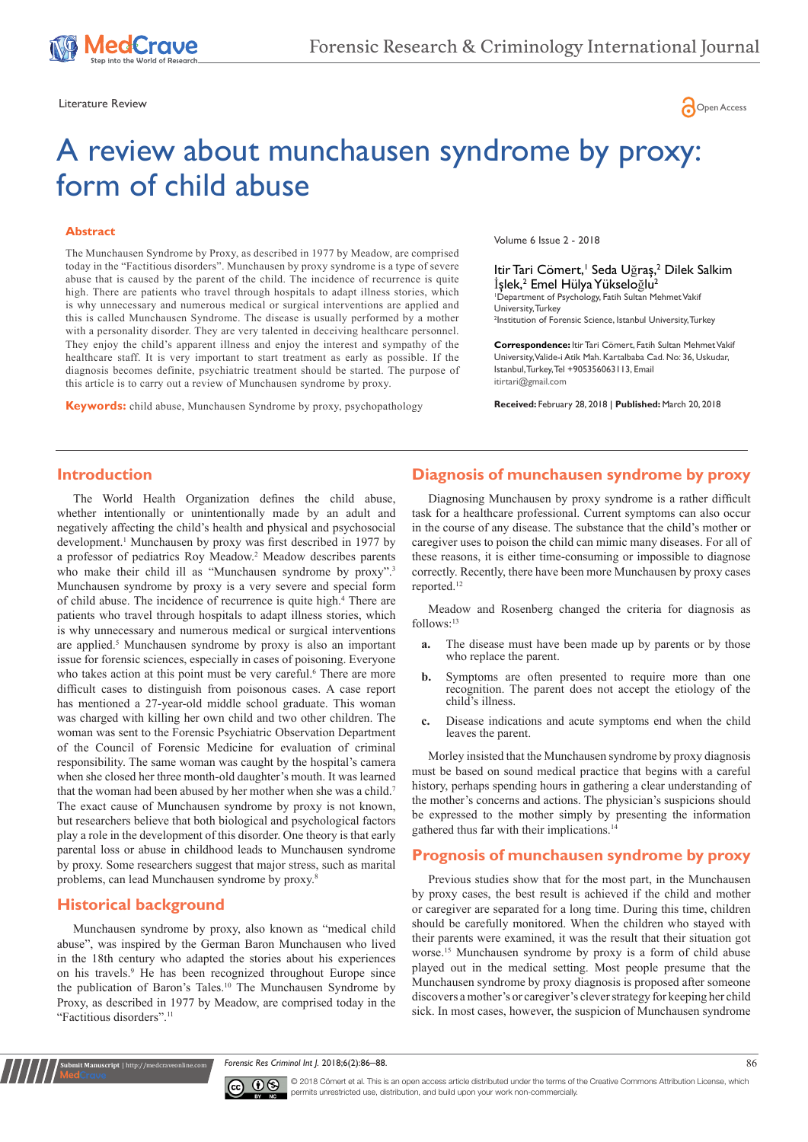

Literature Review **Construction Construction Construction** Construction Construction Construction Construction Co

# A review about munchausen syndrome by proxy: form of child abuse

#### **Abstract**

The Munchausen Syndrome by Proxy, as described in 1977 by Meadow, are comprised today in the "Factitious disorders". Munchausen by proxy syndrome is a type of severe abuse that is caused by the parent of the child. The incidence of recurrence is quite high. There are patients who travel through hospitals to adapt illness stories, which is why unnecessary and numerous medical or surgical interventions are applied and this is called Munchausen Syndrome. The disease is usually performed by a mother with a personality disorder. They are very talented in deceiving healthcare personnel. They enjoy the child's apparent illness and enjoy the interest and sympathy of the healthcare staff. It is very important to start treatment as early as possible. If the diagnosis becomes definite, psychiatric treatment should be started. The purpose of this article is to carry out a review of Munchausen syndrome by proxy.

**Keywords:** child abuse, Munchausen Syndrome by proxy, psychopathology

Volume 6 Issue 2 - 2018

Itir Tari Cömert,<sup>1</sup> Seda Uğraş,<sup>2</sup> Dilek Salkim İşlek,<sup>2</sup> Emel Hülya Yükseloğlu<sup>2</sup> 1 Department of Psychology, Fatih Sultan Mehmet Vakif University, Turkey <sup>2</sup>Institution of Forensic Science, Istanbul University, Turkey

**Correspondence:** Itir Tari Cömert, Fatih Sultan Mehmet Vakif University, Valide-i Atik Mah. Kartalbaba Cad. No: 36, Uskudar, Istanbul, Turkey, Tel +905356063113, Email itirtari@gmail.com

**Received:** February 28, 2018 | **Published:** March 20, 2018

## **Introduction**

The World Health Organization defines the child abuse, whether intentionally or unintentionally made by an adult and negatively affecting the child's health and physical and psychosocial development.<sup>1</sup> Munchausen by proxy was first described in 1977 by a professor of pediatrics Roy Meadow.<sup>2</sup> Meadow describes parents who make their child ill as "Munchausen syndrome by proxy".<sup>3</sup> Munchausen syndrome by proxy is a very severe and special form of child abuse. The incidence of recurrence is quite high.<sup>4</sup> There are patients who travel through hospitals to adapt illness stories, which is why unnecessary and numerous medical or surgical interventions are applied.<sup>5</sup> Munchausen syndrome by proxy is also an important issue for forensic sciences, especially in cases of poisoning. Everyone who takes action at this point must be very careful.<sup>6</sup> There are more difficult cases to distinguish from poisonous cases. A case report has mentioned a 27-year-old middle school graduate. This woman was charged with killing her own child and two other children. The woman was sent to the Forensic Psychiatric Observation Department of the Council of Forensic Medicine for evaluation of criminal responsibility. The same woman was caught by the hospital's camera when she closed her three month-old daughter's mouth. It was learned that the woman had been abused by her mother when she was a child.<sup>7</sup> The exact cause of Munchausen syndrome by proxy is not known, but researchers believe that both biological and psychological factors play a role in the development of this disorder. One theory is that early parental loss or abuse in childhood leads to Munchausen syndrome by proxy. Some researchers suggest that major stress, such as marital problems, can lead Munchausen syndrome by proxy.<sup>8</sup>

#### **Historical background**

**ubmit Manuscript** | http://medcra

Munchausen syndrome by proxy, also known as "medical child abuse", was inspired by the German Baron Munchausen who lived in the 18th century who adapted the stories about his experiences on his travels.9 He has been recognized throughout Europe since the publication of Baron's Tales.<sup>10</sup> The Munchausen Syndrome by Proxy, as described in 1977 by Meadow, are comprised today in the "Factitious disorders".<sup>11</sup>

# **Diagnosis of munchausen syndrome by proxy**

Diagnosing Munchausen by proxy syndrome is a rather difficult task for a healthcare professional. Current symptoms can also occur in the course of any disease. The substance that the child's mother or caregiver uses to poison the child can mimic many diseases. For all of these reasons, it is either time-consuming or impossible to diagnose correctly. Recently, there have been more Munchausen by proxy cases reported.<sup>12</sup>

Meadow and Rosenberg changed the criteria for diagnosis as follows:<sup>13</sup>

- **a.** The disease must have been made up by parents or by those who replace the parent.
- **b.** Symptoms are often presented to require more than one recognition. The parent does not accept the etiology of the child's illness.
- **c.** Disease indications and acute symptoms end when the child leaves the parent.

Morley insisted that the Munchausen syndrome by proxy diagnosis must be based on sound medical practice that begins with a careful history, perhaps spending hours in gathering a clear understanding of the mother's concerns and actions. The physician's suspicions should be expressed to the mother simply by presenting the information gathered thus far with their implications.<sup>14</sup>

# **Prognosis of munchausen syndrome by proxy**

Previous studies show that for the most part, in the Munchausen by proxy cases, the best result is achieved if the child and mother or caregiver are separated for a long time. During this time, children should be carefully monitored. When the children who stayed with their parents were examined, it was the result that their situation got worse.<sup>15</sup> Munchausen syndrome by proxy is a form of child abuse played out in the medical setting. Most people presume that the Munchausen syndrome by proxy diagnosis is proposed after someone discovers a mother's or caregiver's clever strategy for keeping her child sick. In most cases, however, the suspicion of Munchausen syndrome

*Forensic Res Criminol Int J.* 2018;6(2):86–88.



© 2018 Cömert et al. This is an open access article distributed under the terms of the [Creative Commons Attribution License,](https://creativecommons.org/licenses/by-nc/4.0/) which permits unrestricted use, distribution, and build upon your work non-commercially.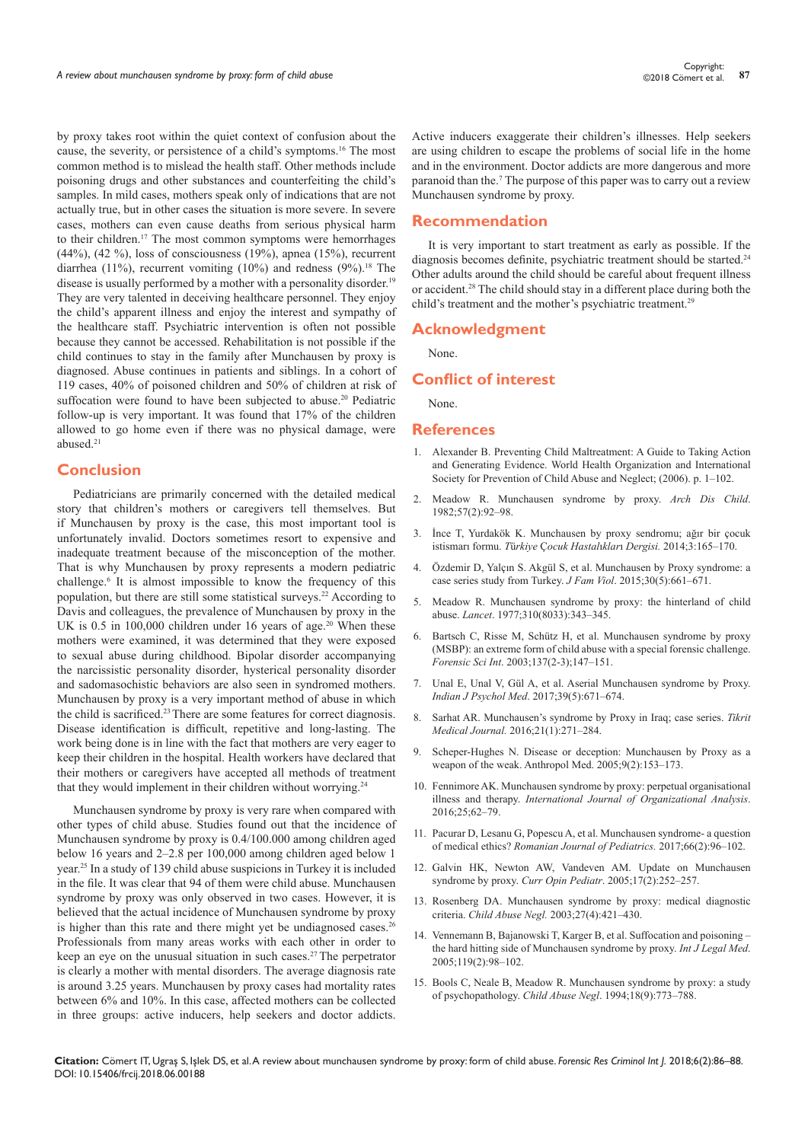by proxy takes root within the quiet context of confusion about the cause, the severity, or persistence of a child's symptoms.<sup>16</sup> The most common method is to mislead the health staff. Other methods include poisoning drugs and other substances and counterfeiting the child's samples. In mild cases, mothers speak only of indications that are not actually true, but in other cases the situation is more severe. In severe cases, mothers can even cause deaths from serious physical harm to their children.17 The most common symptoms were hemorrhages (44%), (42 %), loss of consciousness (19%), apnea (15%), recurrent diarrhea (11%), recurrent vomiting (10%) and redness (9%).<sup>18</sup> The disease is usually performed by a mother with a personality disorder.<sup>19</sup> They are very talented in deceiving healthcare personnel. They enjoy the child's apparent illness and enjoy the interest and sympathy of the healthcare staff. Psychiatric intervention is often not possible because they cannot be accessed. Rehabilitation is not possible if the child continues to stay in the family after Munchausen by proxy is diagnosed. Abuse continues in patients and siblings. In a cohort of 119 cases, 40% of poisoned children and 50% of children at risk of suffocation were found to have been subjected to abuse.<sup>20</sup> Pediatric follow-up is very important. It was found that 17% of the children allowed to go home even if there was no physical damage, were abused.<sup>21</sup>

# **Conclusion**

Pediatricians are primarily concerned with the detailed medical story that children's mothers or caregivers tell themselves. But if Munchausen by proxy is the case, this most important tool is unfortunately invalid. Doctors sometimes resort to expensive and inadequate treatment because of the misconception of the mother. That is why Munchausen by proxy represents a modern pediatric challenge.<sup>6</sup> It is almost impossible to know the frequency of this population, but there are still some statistical surveys.<sup>22</sup> According to Davis and colleagues, the prevalence of Munchausen by proxy in the UK is 0.5 in 100,000 children under 16 years of age.<sup>20</sup> When these mothers were examined, it was determined that they were exposed to sexual abuse during childhood. Bipolar disorder accompanying the narcissistic personality disorder, hysterical personality disorder and sadomasochistic behaviors are also seen in syndromed mothers. Munchausen by proxy is a very important method of abuse in which the child is sacrificed.<sup>23</sup> There are some features for correct diagnosis. Disease identification is difficult, repetitive and long-lasting. The work being done is in line with the fact that mothers are very eager to keep their children in the hospital. Health workers have declared that their mothers or caregivers have accepted all methods of treatment that they would implement in their children without worrying.<sup>24</sup>

Munchausen syndrome by proxy is very rare when compared with other types of child abuse. Studies found out that the incidence of Munchausen syndrome by proxy is 0.4/100.000 among children aged below 16 years and 2–2.8 per 100,000 among children aged below 1 year.<sup>25</sup> In a study of 139 child abuse suspicions in Turkey it is included in the file. It was clear that 94 of them were child abuse. Munchausen syndrome by proxy was only observed in two cases. However, it is believed that the actual incidence of Munchausen syndrome by proxy is higher than this rate and there might yet be undiagnosed cases.<sup>26</sup> Professionals from many areas works with each other in order to keep an eye on the unusual situation in such cases.27 The perpetrator is clearly a mother with mental disorders. The average diagnosis rate is around 3.25 years. Munchausen by proxy cases had mortality rates between 6% and 10%. In this case, affected mothers can be collected in three groups: active inducers, help seekers and doctor addicts.

Active inducers exaggerate their children's illnesses. Help seekers are using children to escape the problems of social life in the home and in the environment. Doctor addicts are more dangerous and more paranoid than the.<sup>7</sup> The purpose of this paper was to carry out a review Munchausen syndrome by proxy.

#### **Recommendation**

It is very important to start treatment as early as possible. If the diagnosis becomes definite, psychiatric treatment should be started.<sup>24</sup> Other adults around the child should be careful about frequent illness or accident.<sup>28</sup> The child should stay in a different place during both the child's treatment and the mother's psychiatric treatment.<sup>29</sup>

#### **Acknowledgment**

None.

## **Conflict of interest**

None.

#### **References**

- 1. [Alexander B. Preventing Child Maltreatment: A Guide to Taking Action](http://apps.who.int/iris/bitstream/10665/43499/1/9241594365_eng.pdf)  [and Generating Evidence. World Health Organization and International](http://apps.who.int/iris/bitstream/10665/43499/1/9241594365_eng.pdf)  [Society for Prevention of Child Abuse and Neglect; \(2006\). p. 1–102.](http://apps.who.int/iris/bitstream/10665/43499/1/9241594365_eng.pdf)
- 2. [Meadow R. Munchausen syndrome by proxy.](https://www.ncbi.nlm.nih.gov/pubmed/7065720/) *Arch Dis Child*. [1982;57\(2\):92–98.](https://www.ncbi.nlm.nih.gov/pubmed/7065720/)
- 3. [İnce T, Yurdakök K. Munchausen by proxy sendromu; ağır bir çocuk](https://www.researchgate.net/profile/Kadriye_Yurdakok2/publication/287452284_Munchausen_Syndrome_by_Proxy_A_Serious_Child_Abuse_Form/links/579a218f08ae7b940a8a93b2/Munchausen-Syndrome-by-Proxy-A-Serious-Child-Abuse-Form.pdf)  istismarı formu. *T*ü*rkiye* Ç*ocuk Hastal*ı*klar*ı *Dergisi.* [2014;3:165–170.](https://www.researchgate.net/profile/Kadriye_Yurdakok2/publication/287452284_Munchausen_Syndrome_by_Proxy_A_Serious_Child_Abuse_Form/links/579a218f08ae7b940a8a93b2/Munchausen-Syndrome-by-Proxy-A-Serious-Child-Abuse-Form.pdf)
- 4. [Özdemir D, Yalçın S. Akgül S, et al. Munchausen by Proxy syndrome: a](https://link.springer.com/article/10.1007/s10896-015-9700-3)  [case series study from Turkey.](https://link.springer.com/article/10.1007/s10896-015-9700-3) *J Fam Viol*. 2015;30(5):661–671.
- 5. [Meadow R. Munchausen syndrome by proxy: the hinterland of child](http://www.thelancet.com/journals/lancet/article/PIIS0140673677914970/abstract)  abuse. *Lancet*[. 1977;310\(8033\):343–345.](http://www.thelancet.com/journals/lancet/article/PIIS0140673677914970/abstract)
- 6. [Bartsch C, Risse M, Schütz H, et al. Munchausen syndrome by proxy](https://www.ncbi.nlm.nih.gov/pubmed/14609650)  [\(MSBP\): an extreme form of child abuse with a special forensic challenge.](https://www.ncbi.nlm.nih.gov/pubmed/14609650)  *Forensic Sci Int*[. 2003;137\(2-3\);147–151.](https://www.ncbi.nlm.nih.gov/pubmed/14609650)
- 7. [Unal E, Unal V, Gül A, et al. Aserial Munchausen syndrome by Proxy.](https://www.ncbi.nlm.nih.gov/pubmed/29200568)  *Indian J Psychol Med*[. 2017;39\(5\):671–674.](https://www.ncbi.nlm.nih.gov/pubmed/29200568)
- 8. [Sarhat AR. Munchausen's syndrome by Proxy in Iraq; case series.](https://www.iasj.net/iasj?func=fulltext&aId=122081) *Tikrit Medical Journal.* [2016;21\(1\):271–284.](https://www.iasj.net/iasj?func=fulltext&aId=122081)
- 9. [Scheper-Hughes N. Disease or deception: Munchausen by Proxy as a](https://www.ncbi.nlm.nih.gov/pubmed/26868987)  [weapon of the weak. Anthropol Med. 2005;9\(2\):153–173.](https://www.ncbi.nlm.nih.gov/pubmed/26868987)
- 10. [Fennimore AK. Munchausen syndrome by proxy: perpetual organisational](https://www.emeraldinsight.com/doi/pdfplus/10.1108/IJOA-01-2016-0964)  illness and therapy. *[International Journal of Organizational Analysis](https://www.emeraldinsight.com/doi/pdfplus/10.1108/IJOA-01-2016-0964)*. [2016;25;62–79.](https://www.emeraldinsight.com/doi/pdfplus/10.1108/IJOA-01-2016-0964)
- 11. [Pacurar D, Lesanu G, Popescu A, et al. Munchausen syndrome- a question](http://web.b.ebscohost.com/abstract?direct=true&profile=ehost&scope=site&authtype=crawler&jrnl=14540398&AN=124780575&h=sjTReTQegw3JcvGjcbn8hg%2f9myzK8hfftNCUf8%2bIHu1QJRHIQcp2sDvnumvpQADm65Ciwbmct3ybYbDw%2fYkYtw%3d%3d&crl=f&resultNs=AdminWebAuth&resultLoca)  of medical ethics? *[Romanian Journal of Pediatrics.](http://web.b.ebscohost.com/abstract?direct=true&profile=ehost&scope=site&authtype=crawler&jrnl=14540398&AN=124780575&h=sjTReTQegw3JcvGjcbn8hg%2f9myzK8hfftNCUf8%2bIHu1QJRHIQcp2sDvnumvpQADm65Ciwbmct3ybYbDw%2fYkYtw%3d%3d&crl=f&resultNs=AdminWebAuth&resultLoca)* 2017;66(2):96–102.
- 12. [Galvin HK, Newton AW, Vandeven AM. Update on Munchausen](https://www.ncbi.nlm.nih.gov/pubmed/15800422)  syndrome by proxy. *Curr Opin Pediatr*[. 2005;17\(2\):252–257.](https://www.ncbi.nlm.nih.gov/pubmed/15800422)
- 13. [Rosenberg DA. Munchausen syndrome by proxy: medical diagnostic](https://www.ncbi.nlm.nih.gov/pubmed/12686327)  criteria. *Child Abuse Negl.* [2003;27\(4\):421–430.](https://www.ncbi.nlm.nih.gov/pubmed/12686327)
- 14. [Vennemann B, Bajanowski T, Karger B, et al. Suffocation and poisoning](https://www.ncbi.nlm.nih.gov/pubmed/15578197)  [the hard hitting side of Munchausen syndrome by proxy.](https://www.ncbi.nlm.nih.gov/pubmed/15578197) *Int J Legal Med*. [2005;119\(2\):98–102.](https://www.ncbi.nlm.nih.gov/pubmed/15578197)
- 15. [Bools C, Neale B, Meadow R. Munchausen syndrome by proxy: a study](https://www.ncbi.nlm.nih.gov/pubmed/8000908)  of psychopathology. *Child Abuse Negl*[. 1994;18\(9\):773–788.](https://www.ncbi.nlm.nih.gov/pubmed/8000908)